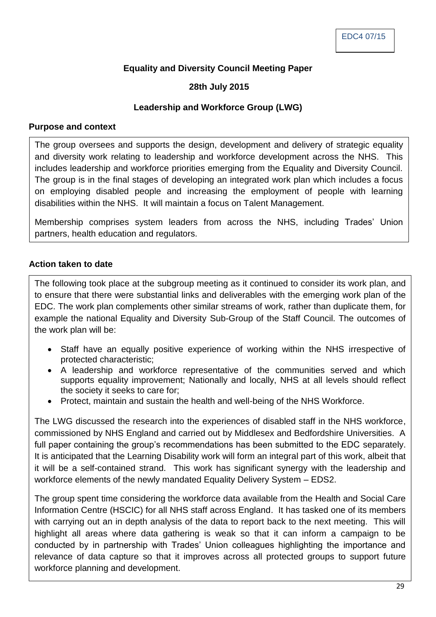# **Equality and Diversity Council Meeting Paper**

## **28th July 2015**

### **Leadership and Workforce Group (LWG)**

#### **Purpose and context**

The group oversees and supports the design, development and delivery of strategic equality and diversity work relating to leadership and workforce development across the NHS. This includes leadership and workforce priorities emerging from the Equality and Diversity Council. The group is in the final stages of developing an integrated work plan which includes a focus on employing disabled people and increasing the employment of people with learning disabilities within the NHS. It will maintain a focus on Talent Management.

Membership comprises system leaders from across the NHS, including Trades' Union partners, health education and regulators.

#### **Action taken to date**

The following took place at the subgroup meeting as it continued to consider its work plan, and to ensure that there were substantial links and deliverables with the emerging work plan of the EDC. The work plan complements other similar streams of work, rather than duplicate them, for example the national Equality and Diversity Sub-Group of the Staff Council. The outcomes of the work plan will be:

- Staff have an equally positive experience of working within the NHS irrespective of protected characteristic;
- A leadership and workforce representative of the communities served and which supports equality improvement; Nationally and locally, NHS at all levels should reflect the society it seeks to care for;
- Protect, maintain and sustain the health and well-being of the NHS Workforce.

The LWG discussed the research into the experiences of disabled staff in the NHS workforce, commissioned by NHS England and carried out by Middlesex and Bedfordshire Universities. A full paper containing the group's recommendations has been submitted to the EDC separately. It is anticipated that the Learning Disability work will form an integral part of this work, albeit that it will be a self-contained strand. This work has significant synergy with the leadership and workforce elements of the newly mandated Equality Delivery System – EDS2.

The group spent time considering the workforce data available from the Health and Social Care Information Centre (HSCIC) for all NHS staff across England. It has tasked one of its members with carrying out an in depth analysis of the data to report back to the next meeting. This will highlight all areas where data gathering is weak so that it can inform a campaign to be conducted by in partnership with Trades' Union colleagues highlighting the importance and relevance of data capture so that it improves across all protected groups to support future workforce planning and development.